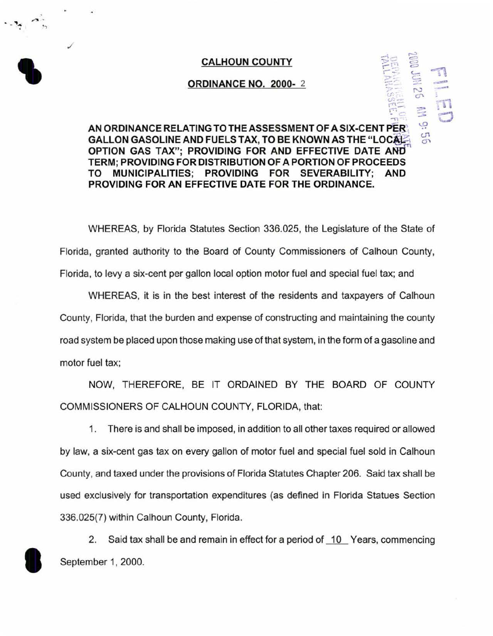## CALHOUN COUNTY

 $\mathbf{r}_{\bullet}$   $\mathbf{r}_{\bullet}$ 

•-,

./

## ORDINANCE NO. 2000-2

## $\rightarrow$ **CALHOUN COUNTY<br>
ORDINANCE NO. 2000-2**<br>
AN ORDINANCE RELATING TO THE ASSESSMENT OF A SIX-CENT PER: GALLON GASOLINE AND FUELS TAX, TO BE KNOWN AS THE "LOCAL" OPTION GAS TAX"; PROVIDING FOR AND EFFECTIVE DATE AND TERM; PROVIDING FOR DISTRIBUTION OF A PORTION OF PROCEEDS TO MUNICIPALITIES; PROVIDING FOR SEVERABILITY; AND PROVIDING FOR AN EFFECTIVE DATE FOR THE ORDINANCE.

WHEREAS, by Florida Statutes Section 336.025, the Legislature of the State of Florida, granted authority to the Board of County Commissioners of Calhoun County, Florida, to levy a six-cent per gallon local option motor fuel and special fuel tax; and

WHEREAS, it is in the best interest of the residents and taxpayers of Calhoun County, Florida, that the burden and expense of constructing and maintaining the county road system be placed upon those making use of that system, in the form of a gasoline and motor fuel tax;

NOW, THEREFORE, BE IT ORDAINED BY THE BOARD OF COUNTY COMMISSIONERS OF CALHOUN COUNTY, FLORIDA, that:

1. There is and shall be imposed, in addition to all other taxes required or allowed by law, a six-cent gas tax on every gallon of motor fuel and special fuel sold in Calhoun County, and taxed under the provisions of Florida Statutes Chapter 206. Said tax shall be used exclusively for transportation expenditures (as defined in Florida Statues Section 336.025(7) within Calhoun County, Florida.

2. Said tax shall be and remain in effect for a period of <u>10</u> Years, commencing September 1, 2000.